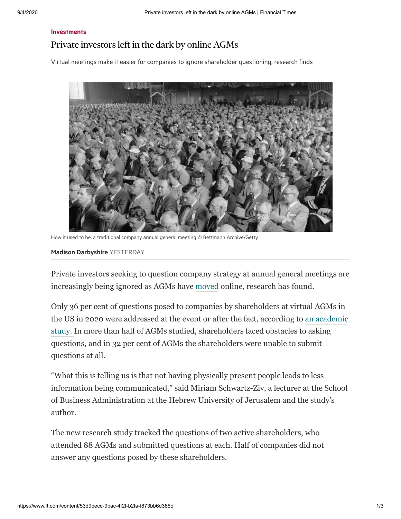## **[Investments](https://www.ft.com/personal-finance/investments)**

## Private investors left in the dark by online AGMs

Virtual meetings make it easier for companies to ignore shareholder questioning, research finds



How it used to be: a traditional company annual general meeting © Bettmann Archive/Getty

## Madison [Darbyshire](https://www.ft.com/madison-darbyshire) YESTERDAY

Private investors seeking to question company strategy at annual general meetings are increasingly being ignored as AGMs have [moved](https://www.ft.com/content/293817d5-4d70-44c6-bf49-148b2baff59f) online, research has found.

Only 36 per cent of questions posed to companies by shareholders at virtual AGMs in [the US in 2020 were addressed at the event or after the fact, according to an academic](https://papers.ssrn.com/sol3/papers.cfm?abstract_id=3674998) study. In more than half of AGMs studied, shareholders faced obstacles to asking questions, and in 32 per cent of AGMs the shareholders were unable to submit questions at all.

"What this is telling us is that not having physically present people leads to less information being communicated," said Miriam Schwartz-Ziv, a lecturer at the School of Business Administration at the Hebrew University of Jerusalem and the study's author.

The new research study tracked the questions of two active shareholders, who attended 88 AGMs and submitted questions at each. Half of companies did not answer any questions posed by these shareholders.